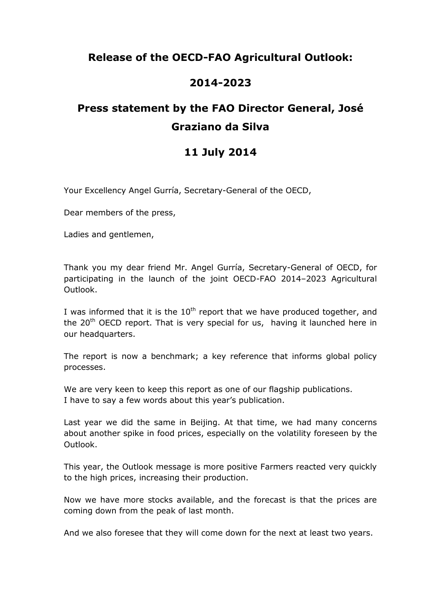## **Release of the OECD-FAO Agricultural Outlook:**

## **2014-2023**

## **Press statement by the FAO Director General, José Graziano da Silva**

## **11 July 2014**

Your Excellency Angel Gurría, Secretary-General of the OECD,

Dear members of the press,

Ladies and gentlemen,

Thank you my dear friend Mr. Angel Gurría, Secretary-General of OECD, for participating in the launch of the joint OECD-FAO 2014–2023 Agricultural Outlook.

I was informed that it is the  $10<sup>th</sup>$  report that we have produced together, and the  $20<sup>th</sup>$  OECD report. That is very special for us, having it launched here in our headquarters.

The report is now a benchmark; a key reference that informs global policy processes.

We are very keen to keep this report as one of our flagship publications. I have to say a few words about this year's publication.

Last year we did the same in Beijing. At that time, we had many concerns about another spike in food prices, especially on the volatility foreseen by the Outlook.

This year, the Outlook message is more positive Farmers reacted very quickly to the high prices, increasing their production.

Now we have more stocks available, and the forecast is that the prices are coming down from the peak of last month.

And we also foresee that they will come down for the next at least two years.